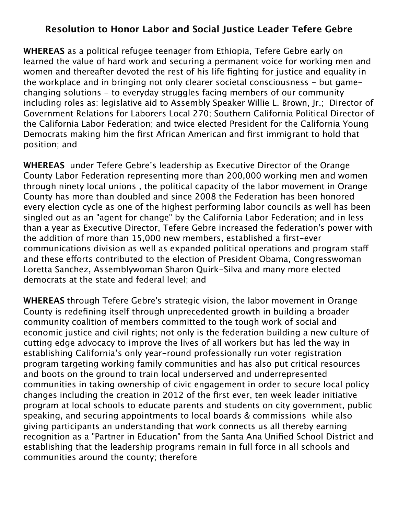## **Resolution to Honor Labor and Social Justice Leader Tefere Gebre**

**WHEREAS** as a political refugee teenager from Ethiopia, Tefere Gebre early on learned the value of hard work and securing a permanent voice for working men and women and thereafter devoted the rest of his life fighting for justice and equality in the workplace and in bringing not only clearer societal consciousness - but gamechanging solutions - to everyday struggles facing members of our community including roles as: legislative aid to Assembly Speaker Willie L. Brown, Jr.; Director of Government Relations for Laborers Local 270; Southern California Political Director of the California Labor Federation; and twice elected President for the California Young Democrats making him the first African American and first immigrant to hold that position; and

**WHEREAS** under Tefere Gebre's leadership as Executive Director of the Orange County Labor Federation representing more than 200,000 working men and women through ninety local unions , the political capacity of the labor movement in Orange County has more than doubled and since 2008 the Federation has been honored every election cycle as one of the highest performing labor councils as well has been singled out as an "agent for change" by the California Labor Federation; and in less than a year as Executive Director, Tefere Gebre increased the federation's power with the addition of more than 15,000 new members, established a first-ever communications division as well as expanded political operations and program staf and these efforts contributed to the election of President Obama, Congresswoman Loretta Sanchez, Assemblywoman Sharon Quirk-Silva and many more elected democrats at the state and federal level; and

**WHEREAS** through Tefere Gebre's strategic vision, the labor movement in Orange County is redefining itself through unprecedented growth in building a broader community coalition of members committed to the tough work of social and economic justice and civil rights; not only is the federation building a new culture of cutting edge advocacy to improve the lives of all workers but has led the way in establishing California's only year-round professionally run voter registration program targeting working family communities and has also put critical resources and boots on the ground to train local underserved and underrepresented communities in taking ownership of civic engagement in order to secure local policy changes including the creation in 2012 of the first ever, ten week leader initiative program at local schools to educate parents and students on city government, public speaking, and securing appointments to local boards & commissions while also giving participants an understanding that work connects us all thereby earning recognition as a "Partner in Education" from the Santa Ana Unified School District and establishing that the leadership programs remain in full force in all schools and communities around the county; therefore